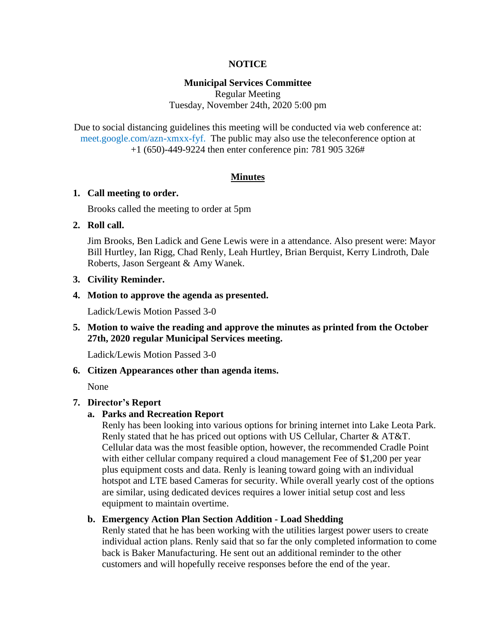## **NOTICE**

## **Municipal Services Committee**

Regular Meeting Tuesday, November 24th, 2020 5:00 pm

Due to social distancing guidelines this meeting will be conducted via web conference at: meet.google.com/azn-xmxx-fyf. The public may also use the teleconference option at +1 (650)-449-9224 then enter conference pin: 781 905 326#

#### **Minutes**

## **1. Call meeting to order.**

Brooks called the meeting to order at 5pm

## **2. Roll call.**

Jim Brooks, Ben Ladick and Gene Lewis were in a attendance. Also present were: Mayor Bill Hurtley, Ian Rigg, Chad Renly, Leah Hurtley, Brian Berquist, Kerry Lindroth, Dale Roberts, Jason Sergeant & Amy Wanek.

## **3. Civility Reminder.**

## **4. Motion to approve the agenda as presented.**

Ladick/Lewis Motion Passed 3-0

**5. Motion to waive the reading and approve the minutes as printed from the October 27th, 2020 regular Municipal Services meeting.**

Ladick/Lewis Motion Passed 3-0

## **6. Citizen Appearances other than agenda items.**

None

## **7. Director's Report**

## **a. Parks and Recreation Report**

Renly has been looking into various options for brining internet into Lake Leota Park. Renly stated that he has priced out options with US Cellular, Charter & AT&T. Cellular data was the most feasible option, however, the recommended Cradle Point with either cellular company required a cloud management Fee of \$1,200 per year plus equipment costs and data. Renly is leaning toward going with an individual hotspot and LTE based Cameras for security. While overall yearly cost of the options are similar, using dedicated devices requires a lower initial setup cost and less equipment to maintain overtime.

#### **b. Emergency Action Plan Section Addition - Load Shedding**

Renly stated that he has been working with the utilities largest power users to create individual action plans. Renly said that so far the only completed information to come back is Baker Manufacturing. He sent out an additional reminder to the other customers and will hopefully receive responses before the end of the year.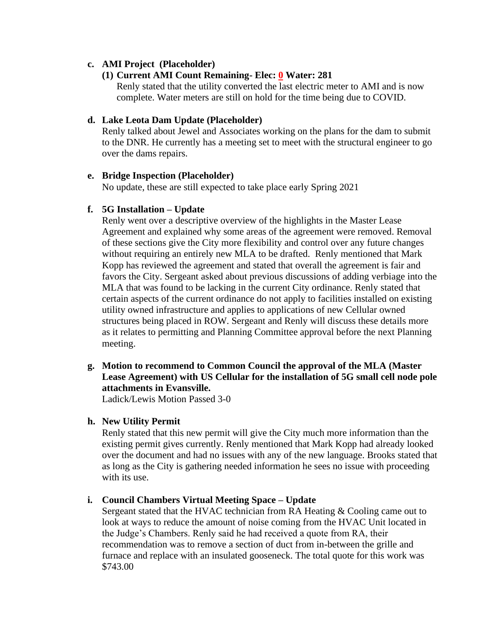## **c. AMI Project (Placeholder)**

## **(1) Current AMI Count Remaining- Elec: 0 Water: 281**

Renly stated that the utility converted the last electric meter to AMI and is now complete. Water meters are still on hold for the time being due to COVID.

## **d. Lake Leota Dam Update (Placeholder)**

Renly talked about Jewel and Associates working on the plans for the dam to submit to the DNR. He currently has a meeting set to meet with the structural engineer to go over the dams repairs.

## **e. Bridge Inspection (Placeholder)**

No update, these are still expected to take place early Spring 2021

# **f. 5G Installation – Update**

Renly went over a descriptive overview of the highlights in the Master Lease Agreement and explained why some areas of the agreement were removed. Removal of these sections give the City more flexibility and control over any future changes without requiring an entirely new MLA to be drafted. Renly mentioned that Mark Kopp has reviewed the agreement and stated that overall the agreement is fair and favors the City. Sergeant asked about previous discussions of adding verbiage into the MLA that was found to be lacking in the current City ordinance. Renly stated that certain aspects of the current ordinance do not apply to facilities installed on existing utility owned infrastructure and applies to applications of new Cellular owned structures being placed in ROW. Sergeant and Renly will discuss these details more as it relates to permitting and Planning Committee approval before the next Planning meeting.

**g. Motion to recommend to Common Council the approval of the MLA (Master Lease Agreement) with US Cellular for the installation of 5G small cell node pole attachments in Evansville.**

Ladick/Lewis Motion Passed 3-0

## **h. New Utility Permit**

Renly stated that this new permit will give the City much more information than the existing permit gives currently. Renly mentioned that Mark Kopp had already looked over the document and had no issues with any of the new language. Brooks stated that as long as the City is gathering needed information he sees no issue with proceeding with its use.

# **i. Council Chambers Virtual Meeting Space – Update**

Sergeant stated that the HVAC technician from RA Heating & Cooling came out to look at ways to reduce the amount of noise coming from the HVAC Unit located in the Judge's Chambers. Renly said he had received a quote from RA, their recommendation was to remove a section of duct from in-between the grille and furnace and replace with an insulated gooseneck. The total quote for this work was \$743.00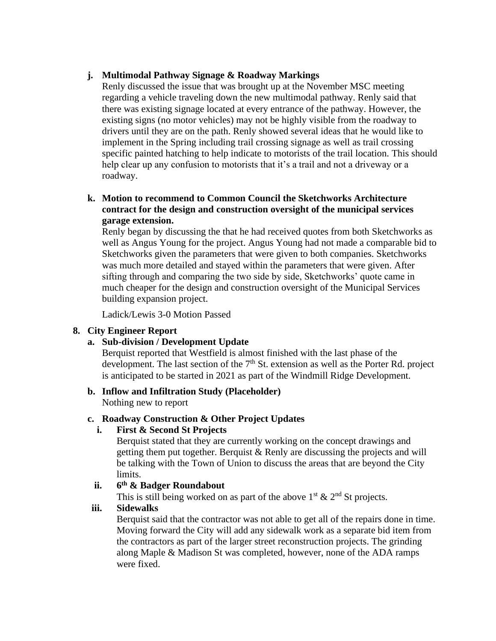# **j. Multimodal Pathway Signage & Roadway Markings**

Renly discussed the issue that was brought up at the November MSC meeting regarding a vehicle traveling down the new multimodal pathway. Renly said that there was existing signage located at every entrance of the pathway. However, the existing signs (no motor vehicles) may not be highly visible from the roadway to drivers until they are on the path. Renly showed several ideas that he would like to implement in the Spring including trail crossing signage as well as trail crossing specific painted hatching to help indicate to motorists of the trail location. This should help clear up any confusion to motorists that it's a trail and not a driveway or a roadway.

**k. Motion to recommend to Common Council the Sketchworks Architecture contract for the design and construction oversight of the municipal services garage extension.**

Renly began by discussing the that he had received quotes from both Sketchworks as well as Angus Young for the project. Angus Young had not made a comparable bid to Sketchworks given the parameters that were given to both companies. Sketchworks was much more detailed and stayed within the parameters that were given. After sifting through and comparing the two side by side, Sketchworks' quote came in much cheaper for the design and construction oversight of the Municipal Services building expansion project.

Ladick/Lewis 3-0 Motion Passed

# **8. City Engineer Report**

# **a. Sub-division / Development Update**

Berquist reported that Westfield is almost finished with the last phase of the development. The last section of the  $7<sup>th</sup>$  St. extension as well as the Porter Rd. project is anticipated to be started in 2021 as part of the Windmill Ridge Development.

# **b. Inflow and Infiltration Study (Placeholder)**

Nothing new to report

# **c. Roadway Construction & Other Project Updates**

# **i. First & Second St Projects**

Berquist stated that they are currently working on the concept drawings and getting them put together. Berquist & Renly are discussing the projects and will be talking with the Town of Union to discuss the areas that are beyond the City limits.

#### **ii. 6 th & Badger Roundabout**

This is still being worked on as part of the above  $1<sup>st</sup> \& 2<sup>nd</sup>$  St projects.

# **iii. Sidewalks**

Berquist said that the contractor was not able to get all of the repairs done in time. Moving forward the City will add any sidewalk work as a separate bid item from the contractors as part of the larger street reconstruction projects. The grinding along Maple & Madison St was completed, however, none of the ADA ramps were fixed.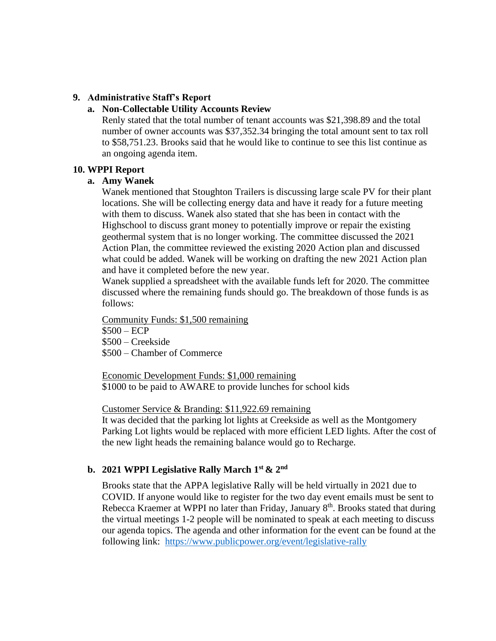## **9. Administrative Staff's Report**

## **a. Non-Collectable Utility Accounts Review**

Renly stated that the total number of tenant accounts was \$21,398.89 and the total number of owner accounts was \$37,352.34 bringing the total amount sent to tax roll to \$58,751.23. Brooks said that he would like to continue to see this list continue as an ongoing agenda item.

#### **10. WPPI Report**

#### **a. Amy Wanek**

Wanek mentioned that Stoughton Trailers is discussing large scale PV for their plant locations. She will be collecting energy data and have it ready for a future meeting with them to discuss. Wanek also stated that she has been in contact with the Highschool to discuss grant money to potentially improve or repair the existing geothermal system that is no longer working. The committee discussed the 2021 Action Plan, the committee reviewed the existing 2020 Action plan and discussed what could be added. Wanek will be working on drafting the new 2021 Action plan and have it completed before the new year.

Wanek supplied a spreadsheet with the available funds left for 2020. The committee discussed where the remaining funds should go. The breakdown of those funds is as follows:

Community Funds: \$1,500 remaining

\$500 – ECP

\$500 – Creekside

\$500 – Chamber of Commerce

Economic Development Funds: \$1,000 remaining \$1000 to be paid to AWARE to provide lunches for school kids

Customer Service & Branding: \$11,922.69 remaining

It was decided that the parking lot lights at Creekside as well as the Montgomery Parking Lot lights would be replaced with more efficient LED lights. After the cost of the new light heads the remaining balance would go to Recharge.

## **b. 2021 WPPI Legislative Rally March 1st & 2nd**

Brooks state that the APPA legislative Rally will be held virtually in 2021 due to COVID. If anyone would like to register for the two day event emails must be sent to Rebecca Kraemer at WPPI no later than Friday, January 8<sup>th</sup>. Brooks stated that during the virtual meetings 1-2 people will be nominated to speak at each meeting to discuss our agenda topics. The agenda and other information for the event can be found at the following link: <https://www.publicpower.org/event/legislative-rally>